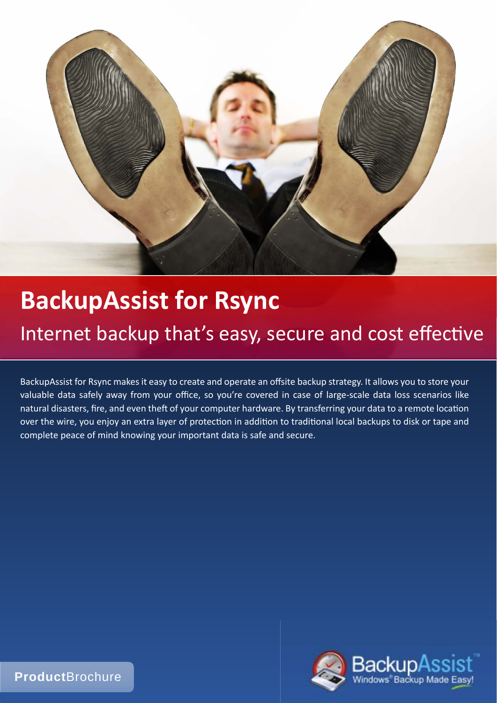

# **BackupAssist for Rsync**

# Internet backup that's easy, secure and cost effective

BackupAssist for Rsync makes it easy to create and operate an offsite backup strategy. It allows you to store your valuable data safely away from your office, so you're covered in case of large-scale data loss scenarios like natural disasters, fire, and even theft of your computer hardware. By transferring your data to a remote location over the wire, you enjoy an extra layer of protection in addition to traditional local backups to disk or tape and complete peace of mind knowing your important data is safe and secure.



**Product**Brochure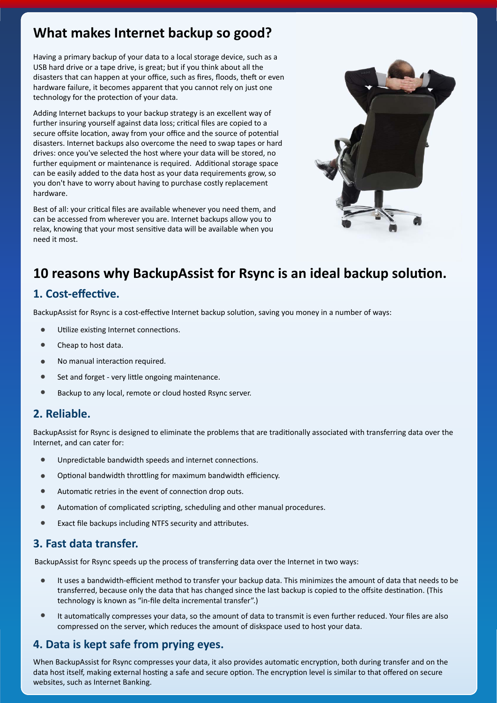## **What makes Internet backup so good?**

Having a primary backup of your data to a local storage device, such as a USB hard drive or a tape drive, is great; but if you think about all the disasters that can happen at your office, such as fires, floods, theft or even hardware failure, it becomes apparent that you cannot rely on just one technology for the protection of your data.

Adding Internet backups to your backup strategy is an excellent way of further insuring yourself against data loss; critical files are copied to a secure offsite location, away from your office and the source of potential disasters. Internet backups also overcome the need to swap tapes or hard drives: once you've selected the host where your data will be stored, no further equipment or maintenance is required. Additional storage space can be easily added to the data host as your data requirements grow, so you don't have to worry about having to purchase costly replacement hardware.

Best of all: your critical files are available whenever you need them, and can be accessed from wherever you are. Internet backups allow you to relax, knowing that your most sensitive data will be available when you need it most.



# 10 reasons why BackupAssist for Rsync is an ideal backup solution.

## **1. Cost-effecƟve.**

BackupAssist for Rsync is a cost-effective Internet backup solution, saving you money in a number of ways:

- $\bullet$ Utilize existing Internet connections.
- $\bullet$ Cheap to host data.
- $\bullet$ No manual interaction required.
- $\bullet$ Set and forget - very little ongoing maintenance.
- $\bullet$ Backup to any local, remote or cloud hosted Rsync server.

## **2. Reliable.**

BackupAssist for Rsync is designed to eliminate the problems that are traditionally associated with transferring data over the Internet, and can cater for:

- $\bullet$ Unpredictable bandwidth speeds and internet connections.
- $\bullet$ Optional bandwidth throttling for maximum bandwidth efficiency.
- $\bullet$ Automatic retries in the event of connection drop outs.
- $\bullet$ Automation of complicated scripting, scheduling and other manual procedures.
- $\bullet$ Exact file backups including NTFS security and attributes.

## **3. Fast data transfer.**

BackupAssist for Rsync speeds up the process of transferring data over the Internet in two ways:

- $\bullet$ It uses a bandwidth-efficient method to transfer your backup data. This minimizes the amount of data that needs to be transferred, because only the data that has changed since the last backup is copied to the offsite destination. (This technology is known as "in-file delta incremental transfer".)
- $\bullet$ It automatically compresses your data, so the amount of data to transmit is even further reduced. Your files are also compressed on the server, which reduces the amount of diskspace used to host your data.

## **4. Data is kept safe from prying eyes.**

When BackupAssist for Rsync compresses your data, it also provides automatic encryption, both during transfer and on the data host itself, making external hosting a safe and secure option. The encryption level is similar to that offered on secure websites, such as Internet Banking.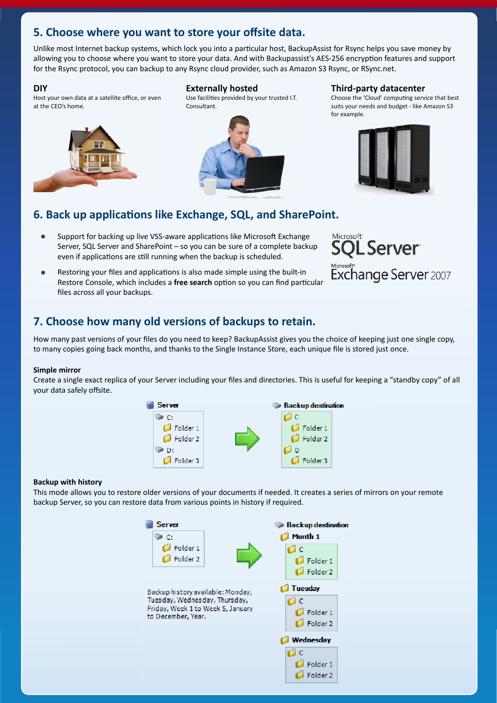## **5. Choose where you want to store your offsite data.**

Unlike most Internet backup systems, which lock you into a particular host, BackupAssist for Rsync helps you save money by allowing you to choose where you want to store your data. And with Backupassist's AES-256 encryption features and support for the Rsync protocol, you can backup to any Rsync cloud provider, such as Amazon S3 Rsync, or RSync.net.

#### **DIY**

Host your own data at a satellite office, or even at the CEO's home.



#### **Externally hosted**

Use facilities provided by your trusted I.T. Consultant.



#### **Third-party datacenter**

Choose the 'Cloud' computing service that best suits your needs and budget - like Amazon S3 for example.



## **6. Back up applicaƟons like Exchange, SQL, and SharePoint.**

- $\bullet$ Support for backing up live VSS-aware applications like Microsoft Exchange Server, SQL Server and SharePoint – so you can be sure of a complete backup even if applications are still running when the backup is scheduled.
- $\bullet$ Restoring your files and applications is also made simple using the built-in Restore Console, which includes a free search option so you can find particular files across all your backups.



## **7. Choose how many old versions of backups to retain.**

How many past versions of your files do you need to keep? BackupAssist gives you the choice of keeping just one single copy, to many copies going back months, and thanks to the Single Instance Store, each unique file is stored just once.

#### **Simple mirror**

Create a single exact replica of your Server including your files and directories. This is useful for keeping a "standby copy" of all your data safely offsite.



#### **Backup with history**

This mode allows you to restore older versions of your documents if needed. It creates a series of mirrors on your remote backup Server, so you can restore data from various points in history if required.

> **Server** Backup destination  $\Box$  Month 1 Эc  $\Box$  Folder 1 d c Folder 2  $\Box$  Folder 1  $\Box$  Folder 2 Tuesday Backup history available: Monday, Tuesday, Wednesday, Thursday, rdi d Friday, Week 1 to Week 5, January  $\Box$  Folder 1 to December, Year.  $\Box$  Folder 2 **Nednesday** ۵c  $\Box$  Folder 1  $\Box$  Folder 2